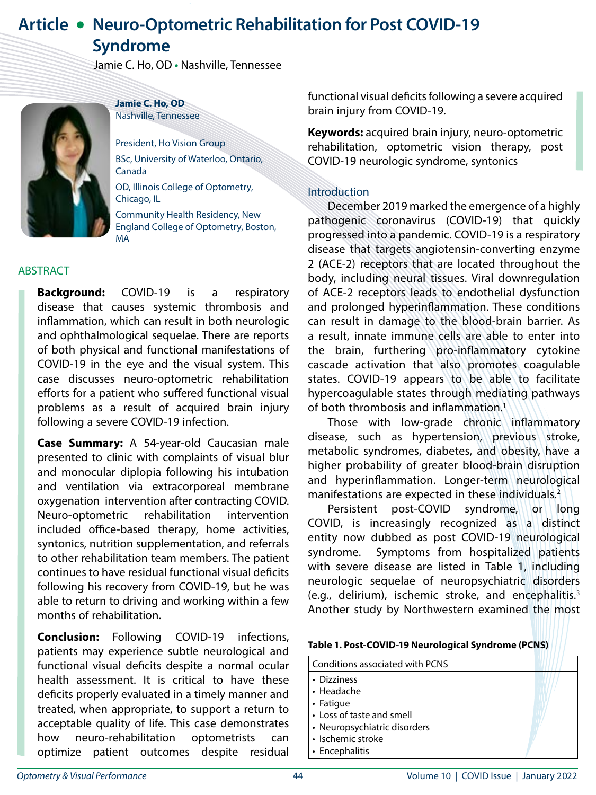# **Article • Neuro-Optometric Rehabilitation for Post COVID-19 Syndrome**

Jamie C. Ho, OD **•** Nashville, Tennessee



**Jamie C. Ho, OD** Nashville, Tennessee

President, Ho Vision Group BSc, University of Waterloo, Ontario, Canada

OD, Illinois College of Optometry, Chicago, IL

Community Health Residency, New England College of Optometry, Boston, MA

# ABSTRACT

**Background:** COVID-19 is a respiratory disease that causes systemic thrombosis and inflammation, which can result in both neurologic and ophthalmological sequelae. There are reports of both physical and functional manifestations of COVID-19 in the eye and the visual system. This case discusses neuro-optometric rehabilitation efforts for a patient who suffered functional visual problems as a result of acquired brain injury following a severe COVID-19 infection.

**Case Summary:** A 54-year-old Caucasian male presented to clinic with complaints of visual blur and monocular diplopia following his intubation and ventilation via extracorporeal membrane oxygenation intervention after contracting COVID. Neuro-optometric rehabilitation intervention included office-based therapy, home activities, syntonics, nutrition supplementation, and referrals to other rehabilitation team members. The patient continues to have residual functional visual deficits following his recovery from COVID-19, but he was able to return to driving and working within a few months of rehabilitation.

**Conclusion:** Following COVID-19 infections, patients may experience subtle neurological and functional visual deficits despite a normal ocular health assessment. It is critical to have these deficits properly evaluated in a timely manner and treated, when appropriate, to support a return to acceptable quality of life. This case demonstrates how neuro-rehabilitation optometrists can optimize patient outcomes despite residual

functional visual deficits following a severe acquired brain injury from COVID-19.

**Keywords:** acquired brain injury, neuro-optometric rehabilitation, optometric vision therapy, post COVID-19 neurologic syndrome, syntonics

# Introduction

December 2019 marked the emergence of a highly pathogenic coronavirus (COVID-19) that quickly progressed into a pandemic. COVID-19 is a respiratory disease that targets angiotensin-converting enzyme 2 (ACE-2) receptors that are located throughout the body, including neural tissues. Viral downregulation of ACE-2 receptors leads to endothelial dysfunction and prolonged hyperinflammation. These conditions can result in damage to the blood-brain barrier. As a result, innate immune cells are able to enter into the brain, furthering pro-inflammatory cytokine cascade activation that also promotes coagulable states. COVID-19 appears to be able to facilitate hypercoagulable states through mediating pathways of both thrombosis and inflammation.<sup>1</sup>

Those with low-grade chronic inflammatory disease, such as hypertension, previous stroke, metabolic syndromes, diabetes, and obesity, have a higher probability of greater blood-brain disruption and hyperinflammation. Longer-term neurological manifestations are expected in these individuals. $2$ 

Persistent post-COVID syndrome, or long COVID, is increasingly recognized as a distinct entity now dubbed as post COVID-19 neurological syndrome. Symptoms from hospitalized patients with severe disease are listed in Table 1, including neurologic sequelae of neuropsychiatric disorders (e.g., delirium), ischemic stroke, and encephalitis.3 Another study by Northwestern examined the most

#### **Table 1. Post-COVID-19 Neurological Syndrome (PCNS)**

#### Conditions associated with PCNS

- Dizziness
- Headache
- Fatigue
- Loss of taste and smell
- Neuropsychiatric disorders
- Ischemic stroke
- Encephalitis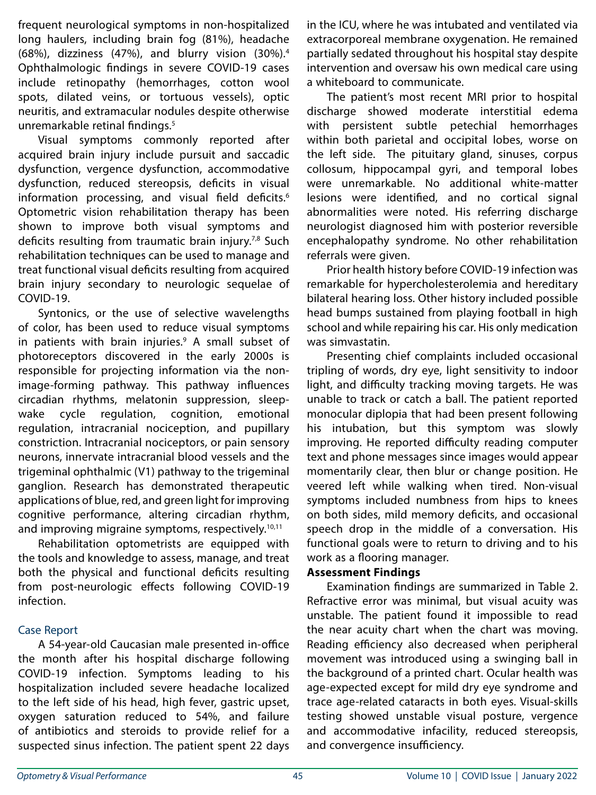frequent neurological symptoms in non-hospitalized long haulers, including brain fog (81%), headache (68%), dizziness (47%), and blurry vision (30%).4 Ophthalmologic findings in severe COVID-19 cases include retinopathy (hemorrhages, cotton wool spots, dilated veins, or tortuous vessels), optic neuritis, and extramacular nodules despite otherwise unremarkable retinal findings.<sup>5</sup>

Visual symptoms commonly reported after acquired brain injury include pursuit and saccadic dysfunction, vergence dysfunction, accommodative dysfunction, reduced stereopsis, deficits in visual information processing, and visual field deficits.<sup>6</sup> Optometric vision rehabilitation therapy has been shown to improve both visual symptoms and deficits resulting from traumatic brain injury.<sup>7,8</sup> Such rehabilitation techniques can be used to manage and treat functional visual deficits resulting from acquired brain injury secondary to neurologic sequelae of COVID-19.

Syntonics, or the use of selective wavelengths of color, has been used to reduce visual symptoms in patients with brain injuries.<sup>9</sup> A small subset of photoreceptors discovered in the early 2000s is responsible for projecting information via the nonimage-forming pathway. This pathway influences circadian rhythms, melatonin suppression, sleepwake cycle regulation, cognition, emotional regulation, intracranial nociception, and pupillary constriction. Intracranial nociceptors, or pain sensory neurons, innervate intracranial blood vessels and the trigeminal ophthalmic (V1) pathway to the trigeminal ganglion. Research has demonstrated therapeutic applications of blue, red, and green light for improving cognitive performance, altering circadian rhythm, and improving migraine symptoms, respectively.<sup>10,11</sup>

Rehabilitation optometrists are equipped with the tools and knowledge to assess, manage, and treat both the physical and functional deficits resulting from post-neurologic effects following COVID-19 infection.

## Case Report

A 54-year-old Caucasian male presented in-office the month after his hospital discharge following COVID-19 infection. Symptoms leading to his hospitalization included severe headache localized to the left side of his head, high fever, gastric upset, oxygen saturation reduced to 54%, and failure of antibiotics and steroids to provide relief for a suspected sinus infection. The patient spent 22 days

in the ICU, where he was intubated and ventilated via extracorporeal membrane oxygenation. He remained partially sedated throughout his hospital stay despite intervention and oversaw his own medical care using a whiteboard to communicate.

The patient's most recent MRI prior to hospital discharge showed moderate interstitial edema with persistent subtle petechial hemorrhages within both parietal and occipital lobes, worse on the left side. The pituitary gland, sinuses, corpus collosum, hippocampal gyri, and temporal lobes were unremarkable. No additional white-matter lesions were identified, and no cortical signal abnormalities were noted. His referring discharge neurologist diagnosed him with posterior reversible encephalopathy syndrome. No other rehabilitation referrals were given.

Prior health history before COVID-19 infection was remarkable for hypercholesterolemia and hereditary bilateral hearing loss. Other history included possible head bumps sustained from playing football in high school and while repairing his car. His only medication was simvastatin.

Presenting chief complaints included occasional tripling of words, dry eye, light sensitivity to indoor light, and difficulty tracking moving targets. He was unable to track or catch a ball. The patient reported monocular diplopia that had been present following his intubation, but this symptom was slowly improving. He reported difficulty reading computer text and phone messages since images would appear momentarily clear, then blur or change position. He veered left while walking when tired. Non-visual symptoms included numbness from hips to knees on both sides, mild memory deficits, and occasional speech drop in the middle of a conversation. His functional goals were to return to driving and to his work as a flooring manager.

## **Assessment Findings**

Examination findings are summarized in Table 2. Refractive error was minimal, but visual acuity was unstable. The patient found it impossible to read the near acuity chart when the chart was moving. Reading efficiency also decreased when peripheral movement was introduced using a swinging ball in the background of a printed chart. Ocular health was age-expected except for mild dry eye syndrome and trace age-related cataracts in both eyes. Visual-skills testing showed unstable visual posture, vergence and accommodative infacility, reduced stereopsis, and convergence insufficiency.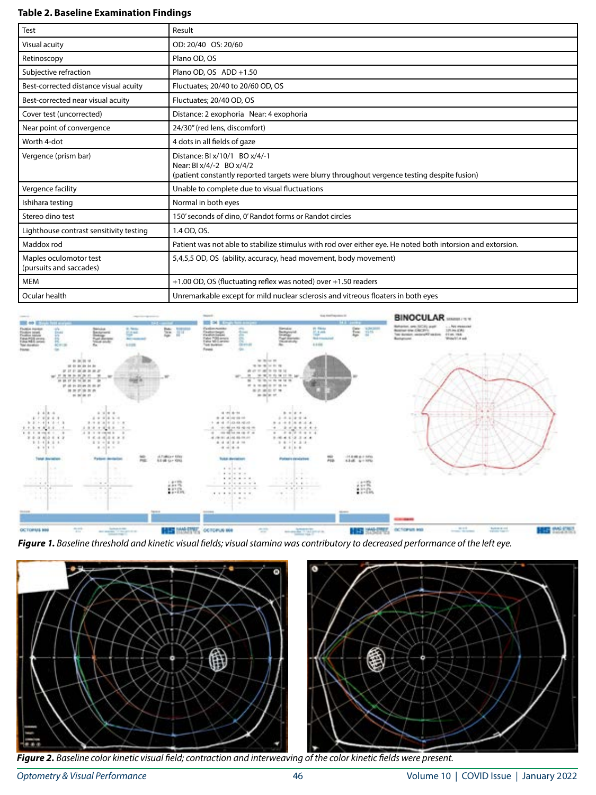#### **Table 2. Baseline Examination Findings**

| <b>Test</b>                                       | Result                                                                                                                                                    |  |
|---------------------------------------------------|-----------------------------------------------------------------------------------------------------------------------------------------------------------|--|
| Visual acuity                                     | OD: 20/40 OS: 20/60                                                                                                                                       |  |
| Retinoscopy                                       | Plano OD, OS                                                                                                                                              |  |
| Subjective refraction                             | Plano OD, OS ADD +1.50                                                                                                                                    |  |
| Best-corrected distance visual acuity             | Fluctuates; 20/40 to 20/60 OD, OS                                                                                                                         |  |
| Best-corrected near visual acuity                 | Fluctuates; 20/40 OD, OS                                                                                                                                  |  |
| Cover test (uncorrected)                          | Distance: 2 exophoria Near: 4 exophoria                                                                                                                   |  |
| Near point of convergence                         | 24/30" (red lens, discomfort)                                                                                                                             |  |
| Worth 4-dot                                       | 4 dots in all fields of gaze                                                                                                                              |  |
| Vergence (prism bar)                              | Distance: BI x/10/1 BO x/4/-1<br>Near: BI x/4/-2 BO x/4/2<br>(patient constantly reported targets were blurry throughout vergence testing despite fusion) |  |
| Vergence facility                                 | Unable to complete due to visual fluctuations                                                                                                             |  |
| Ishihara testing                                  | Normal in both eyes                                                                                                                                       |  |
| Stereo dino test                                  | 150' seconds of dino, 0' Randot forms or Randot circles                                                                                                   |  |
| Lighthouse contrast sensitivity testing           | 1.4 OD, OS.                                                                                                                                               |  |
| Maddox rod                                        | Patient was not able to stabilize stimulus with rod over either eye. He noted both intorsion and extorsion.                                               |  |
| Maples oculomotor test<br>(pursuits and saccades) | 5,4,5,5 OD, OS (ability, accuracy, head movement, body movement)                                                                                          |  |
| <b>MEM</b>                                        | +1.00 OD, OS (fluctuating reflex was noted) over +1.50 readers                                                                                            |  |
| Ocular health                                     | Unremarkable except for mild nuclear sclerosis and vitreous floaters in both eyes                                                                         |  |









*Figure 2. Baseline color kinetic visual field; contraction and interweaving of the color kinetic fields were present.*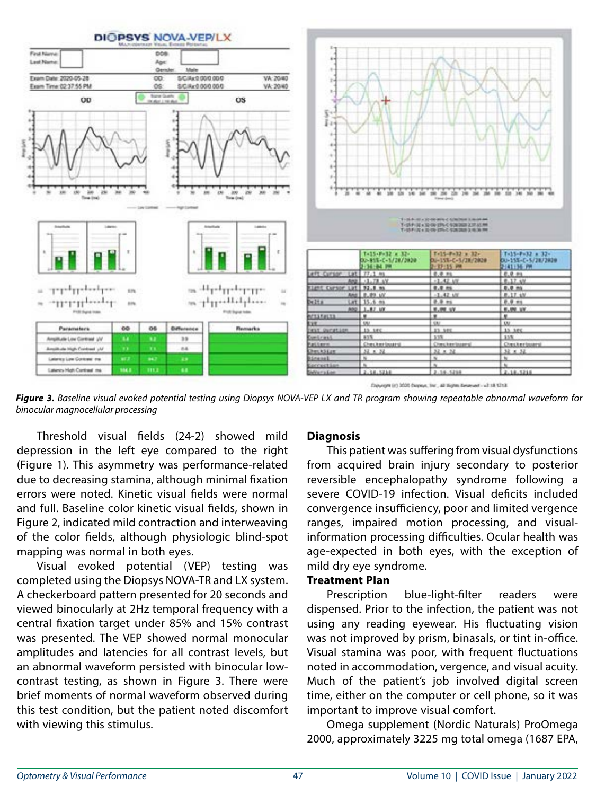

Engurages (et) 3000 Engreys, Text., 40 Highes Retervant - ult 18 KEYSK

*Figure 3. Baseline visual evoked potential testing using Diopsys NOVA-VEP LX and TR program showing repeatable abnormal waveform for binocular magnocellular processing*

Threshold visual fields (24-2) showed mild depression in the left eye compared to the right (Figure 1). This asymmetry was performance-related due to decreasing stamina, although minimal fixation errors were noted. Kinetic visual fields were normal and full. Baseline color kinetic visual fields, shown in Figure 2, indicated mild contraction and interweaving of the color fields, although physiologic blind-spot mapping was normal in both eyes.

Visual evoked potential (VEP) testing was completed using the Diopsys NOVA-TR and LX system. A checkerboard pattern presented for 20 seconds and viewed binocularly at 2Hz temporal frequency with a central fixation target under 85% and 15% contrast was presented. The VEP showed normal monocular amplitudes and latencies for all contrast levels, but an abnormal waveform persisted with binocular lowcontrast testing, as shown in Figure 3. There were brief moments of normal waveform observed during this test condition, but the patient noted discomfort with viewing this stimulus.

#### **Diagnosis**

This patient was suffering from visual dysfunctions from acquired brain injury secondary to posterior reversible encephalopathy syndrome following a severe COVID-19 infection. Visual deficits included convergence insufficiency, poor and limited vergence ranges, impaired motion processing, and visualinformation processing difficulties. Ocular health was age-expected in both eyes, with the exception of mild dry eye syndrome.

### **Treatment Plan**

Prescription blue-light-filter readers were dispensed. Prior to the infection, the patient was not using any reading eyewear. His fluctuating vision was not improved by prism, binasals, or tint in-office. Visual stamina was poor, with frequent fluctuations noted in accommodation, vergence, and visual acuity. Much of the patient's job involved digital screen time, either on the computer or cell phone, so it was important to improve visual comfort.

Omega supplement (Nordic Naturals) ProOmega 2000, approximately 3225 mg total omega (1687 EPA,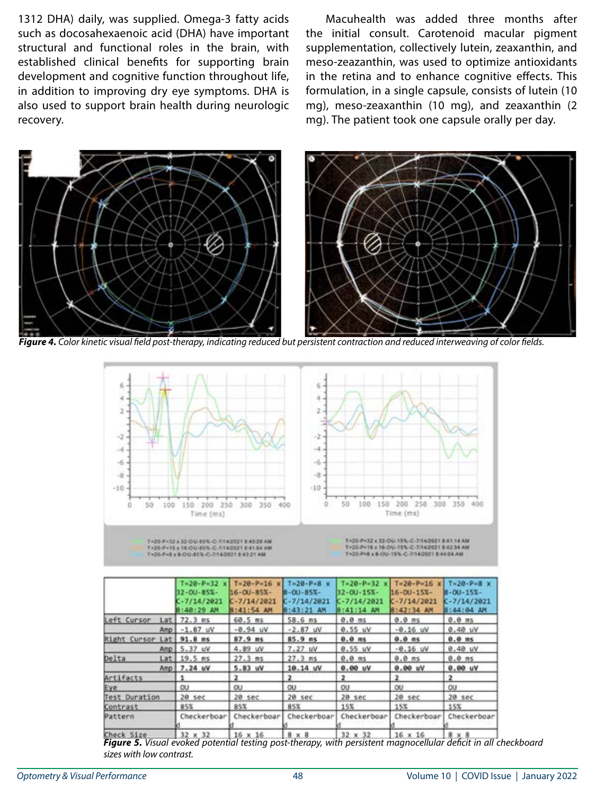1312 DHA) daily, was supplied. Omega-3 fatty acids such as docosahexaenoic acid (DHA) have important structural and functional roles in the brain, with established clinical benefits for supporting brain development and cognitive function throughout life, in addition to improving dry eye symptoms. DHA is also used to support brain health during neurologic recovery.

Macuhealth was added three months after the initial consult. Carotenoid macular pigment supplementation, collectively lutein, zeaxanthin, and meso-zeazanthin, was used to optimize antioxidants in the retina and to enhance cognitive effects. This formulation, in a single capsule, consists of lutein (10 mg), meso-zeaxanthin (10 mg), and zeaxanthin (2 mg). The patient took one capsule orally per day.



*Figure 4. Color kinetic visual field post-therapy, indicating reduced but persistent contraction and reduced interweaving of color fields.* 



|                              | $T = 20 - P = 32$<br>32-00-85%-<br>C-7/14/2021<br>8:40:29 AM | $T = 20 - P = 16$<br>16-00-85%-<br>$C - 7/14/2021$<br>B:41:54 AM | $T = 20 - P = 8$ x<br>$B - 01 - 85X -$<br>$C - 7/14/2021$<br>8:43:21 AM | $Ta20-P=32$<br>32-00-15%-<br>$K - 7/14/2021$<br>8:41:14 AM | $x$ T=20-P=16 x T=20-P=8 x<br>$16 - 01 - 15x -$<br>$C - 7/14/2021$<br>8:42:34 AM | 8-00-15%-<br>$C - 7/14/2021$<br>8:44:04 AM |
|------------------------------|--------------------------------------------------------------|------------------------------------------------------------------|-------------------------------------------------------------------------|------------------------------------------------------------|----------------------------------------------------------------------------------|--------------------------------------------|
| Left Cursor<br>Lat           | $72.3$ ms                                                    | $68.5$ ms                                                        | $58.6$ ms                                                               | $0.0$ ms.                                                  | $0.0$ ms                                                                         | $0.0$ ms                                   |
|                              | Amp   -1.87 uV                                               | $-0.94$ $W$                                                      | $-2.87$ $W$                                                             | 0.55 uV                                                    | $-0.16$ uV                                                                       | 0.48W                                      |
| <b>Right Cursor</b><br>Lat I | $91.8$ ms                                                    | $87.9$ ms                                                        | $85.9$ ms                                                               | $0.0$ ms                                                   | $0.0$ ms                                                                         | $0.0$ ms                                   |
|                              | Amp   5.37 uV                                                | 4.89 uV                                                          | 7.27 uV                                                                 | 0.55 uV                                                    | $-0.16$ uV                                                                       | $0.40 \text{ uV}$                          |
| Delta                        | $Lat$ 19.5 ms                                                | $27.3$ ms                                                        | 27.3ms                                                                  | $0.0$ ms                                                   | $0.0$ ms                                                                         | $0.0$ ms                                   |
|                              | Anp 7.24 uV                                                  | 5.83 wV                                                          | 10.14 uV                                                                | 0.00 uV                                                    | 0.00 uV                                                                          | 0.00 uV                                    |
| Artifacts                    |                                                              | 2                                                                | $\overline{\mathbf{2}}$                                                 | 2                                                          |                                                                                  | 2                                          |
| Eye.                         | 0U                                                           | <b>OU</b>                                                        | <b>OU</b>                                                               | OU.                                                        | ou                                                                               | 0U                                         |
| <b>Test Duration</b>         | $20$ sec                                                     | $20$ sec                                                         | $20$ sec                                                                | $20$ sec                                                   | 20 sec                                                                           | $20$ sec                                   |
| Contrast                     | 85%                                                          | 85%                                                              | 85%                                                                     | 15%                                                        | 15%                                                                              | 15%                                        |
| Pattern                      | Checkerboar                                                  | Checkerboar                                                      | Checkerboar                                                             | Checkerboar                                                | Checkerboar                                                                      | Checkerboar                                |
| Charl Cive                   | 33.9.33                                                      | 16 v 16                                                          | $8 - 8$                                                                 | $35 - 35$                                                  | $16 - 16$                                                                        | 量い量                                        |

*Figure 5. Visual evoked potential testing post-therapy, with persistent magnocellular deficit in all checkboard sizes with low contrast.*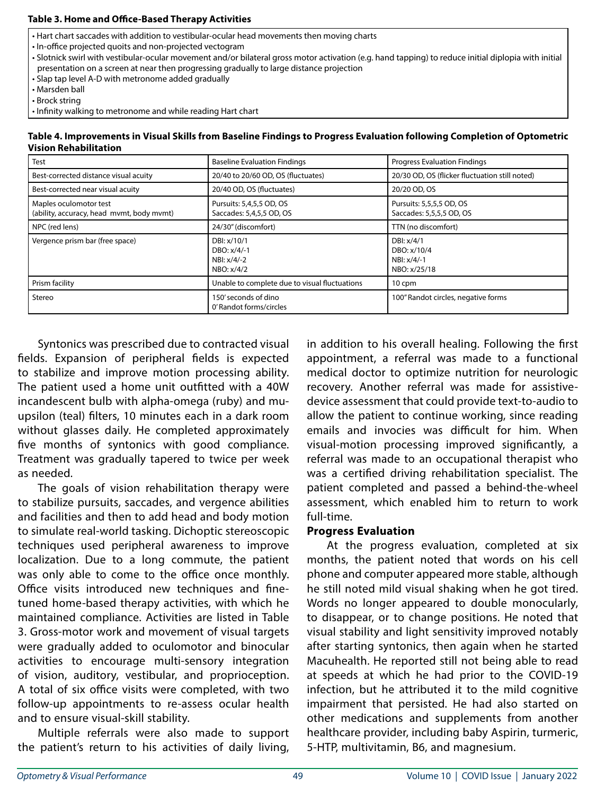#### **Table 3. Home and Office-Based Therapy Activities**

- Hart chart saccades with addition to vestibular-ocular head movements then moving charts
- In-office projected quoits and non-projected vectogram
- Slotnick swirl with vestibular-ocular movement and/or bilateral gross motor activation (e.g. hand tapping) to reduce initial diplopia with initial presentation on a screen at near then progressing gradually to large distance projection
- Slap tap level A-D with metronome added gradually
- Marsden ball
- Brock string
- Infinity walking to metronome and while reading Hart chart

| Table 4. Improvements in Visual Skills from Baseline Findings to Progress Evaluation following Completion of Optometric |
|-------------------------------------------------------------------------------------------------------------------------|
| <b>Vision Rehabilitation</b>                                                                                            |

| <b>Test</b>                                                         | <b>Baseline Evaluation Findings</b>                     | <b>Progress Evaluation Findings</b>                             |
|---------------------------------------------------------------------|---------------------------------------------------------|-----------------------------------------------------------------|
| Best-corrected distance visual acuity                               | 20/40 to 20/60 OD, OS (fluctuates)                      | 20/30 OD, OS (flicker fluctuation still noted)                  |
| Best-corrected near visual acuity                                   | 20/40 OD, OS (fluctuates)                               | 20/20 OD, OS                                                    |
| Maples oculomotor test<br>(ability, accuracy, head mvmt, body mvmt) | Pursuits: 5,4,5,5 OD, OS<br>Saccades: 5,4,5,5 OD, OS    | Pursuits: 5,5,5,5 OD, OS<br>Saccades: 5,5,5,5 OD, OS            |
| NPC (red lens)                                                      | 24/30" (discomfort)                                     | TTN (no discomfort)                                             |
| Vergence prism bar (free space)                                     | DBI: x/10/1<br>DBO: x/4/-1<br>NBI: x/4/-2<br>NBO: x/4/2 | DBI: x/4/1<br>DBO: x/10/4<br>$NB! \times /4/-1$<br>NBO: x/25/18 |
| Prism facility                                                      | Unable to complete due to visual fluctuations           | 10 cpm                                                          |
| Stereo                                                              | 150' seconds of dino<br>0' Randot forms/circles         | 100" Randot circles, negative forms                             |

Syntonics was prescribed due to contracted visual fields. Expansion of peripheral fields is expected to stabilize and improve motion processing ability. The patient used a home unit outfitted with a 40W incandescent bulb with alpha-omega (ruby) and muupsilon (teal) filters, 10 minutes each in a dark room without glasses daily. He completed approximately five months of syntonics with good compliance. Treatment was gradually tapered to twice per week as needed.

The goals of vision rehabilitation therapy were to stabilize pursuits, saccades, and vergence abilities and facilities and then to add head and body motion to simulate real-world tasking. Dichoptic stereoscopic techniques used peripheral awareness to improve localization. Due to a long commute, the patient was only able to come to the office once monthly. Office visits introduced new techniques and finetuned home-based therapy activities, with which he maintained compliance. Activities are listed in Table 3. Gross-motor work and movement of visual targets were gradually added to oculomotor and binocular activities to encourage multi-sensory integration of vision, auditory, vestibular, and proprioception. A total of six office visits were completed, with two follow-up appointments to re-assess ocular health and to ensure visual-skill stability.

Multiple referrals were also made to support the patient's return to his activities of daily living,

in addition to his overall healing. Following the first appointment, a referral was made to a functional medical doctor to optimize nutrition for neurologic recovery. Another referral was made for assistivedevice assessment that could provide text-to-audio to allow the patient to continue working, since reading emails and invocies was difficult for him. When visual-motion processing improved significantly, a referral was made to an occupational therapist who was a certified driving rehabilitation specialist. The patient completed and passed a behind-the-wheel assessment, which enabled him to return to work full-time.

## **Progress Evaluation**

At the progress evaluation, completed at six months, the patient noted that words on his cell phone and computer appeared more stable, although he still noted mild visual shaking when he got tired. Words no longer appeared to double monocularly, to disappear, or to change positions. He noted that visual stability and light sensitivity improved notably after starting syntonics, then again when he started Macuhealth. He reported still not being able to read at speeds at which he had prior to the COVID-19 infection, but he attributed it to the mild cognitive impairment that persisted. He had also started on other medications and supplements from another healthcare provider, including baby Aspirin, turmeric, 5-HTP, multivitamin, B6, and magnesium.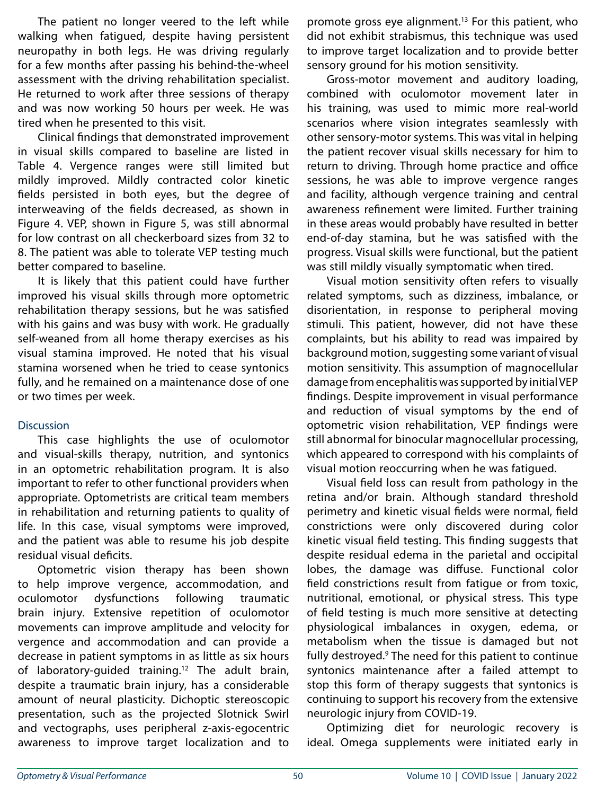The patient no longer veered to the left while walking when fatigued, despite having persistent neuropathy in both legs. He was driving regularly for a few months after passing his behind-the-wheel assessment with the driving rehabilitation specialist. He returned to work after three sessions of therapy and was now working 50 hours per week. He was tired when he presented to this visit.

Clinical findings that demonstrated improvement in visual skills compared to baseline are listed in Table 4. Vergence ranges were still limited but mildly improved. Mildly contracted color kinetic fields persisted in both eyes, but the degree of interweaving of the fields decreased, as shown in Figure 4. VEP, shown in Figure 5, was still abnormal for low contrast on all checkerboard sizes from 32 to 8. The patient was able to tolerate VEP testing much better compared to baseline.

It is likely that this patient could have further improved his visual skills through more optometric rehabilitation therapy sessions, but he was satisfied with his gains and was busy with work. He gradually self-weaned from all home therapy exercises as his visual stamina improved. He noted that his visual stamina worsened when he tried to cease syntonics fully, and he remained on a maintenance dose of one or two times per week.

## **Discussion**

This case highlights the use of oculomotor and visual-skills therapy, nutrition, and syntonics in an optometric rehabilitation program. It is also important to refer to other functional providers when appropriate. Optometrists are critical team members in rehabilitation and returning patients to quality of life. In this case, visual symptoms were improved, and the patient was able to resume his job despite residual visual deficits.

Optometric vision therapy has been shown to help improve vergence, accommodation, and oculomotor dysfunctions following traumatic brain injury. Extensive repetition of oculomotor movements can improve amplitude and velocity for vergence and accommodation and can provide a decrease in patient symptoms in as little as six hours of laboratory-quided training.<sup>12</sup> The adult brain, despite a traumatic brain injury, has a considerable amount of neural plasticity. Dichoptic stereoscopic presentation, such as the projected Slotnick Swirl and vectographs, uses peripheral z-axis-egocentric awareness to improve target localization and to

promote gross eye alignment.<sup>13</sup> For this patient, who did not exhibit strabismus, this technique was used to improve target localization and to provide better sensory ground for his motion sensitivity.

Gross-motor movement and auditory loading, combined with oculomotor movement later in his training, was used to mimic more real-world scenarios where vision integrates seamlessly with other sensory-motor systems. This was vital in helping the patient recover visual skills necessary for him to return to driving. Through home practice and office sessions, he was able to improve vergence ranges and facility, although vergence training and central awareness refinement were limited. Further training in these areas would probably have resulted in better end-of-day stamina, but he was satisfied with the progress. Visual skills were functional, but the patient was still mildly visually symptomatic when tired.

Visual motion sensitivity often refers to visually related symptoms, such as dizziness, imbalance, or disorientation, in response to peripheral moving stimuli. This patient, however, did not have these complaints, but his ability to read was impaired by background motion, suggesting some variant of visual motion sensitivity. This assumption of magnocellular damage from encephalitis was supported by initial VEP findings. Despite improvement in visual performance and reduction of visual symptoms by the end of optometric vision rehabilitation, VEP findings were still abnormal for binocular magnocellular processing, which appeared to correspond with his complaints of visual motion reoccurring when he was fatigued.

Visual field loss can result from pathology in the retina and/or brain. Although standard threshold perimetry and kinetic visual fields were normal, field constrictions were only discovered during color kinetic visual field testing. This finding suggests that despite residual edema in the parietal and occipital lobes, the damage was diffuse. Functional color field constrictions result from fatigue or from toxic, nutritional, emotional, or physical stress. This type of field testing is much more sensitive at detecting physiological imbalances in oxygen, edema, or metabolism when the tissue is damaged but not fully destroyed.<sup>9</sup> The need for this patient to continue syntonics maintenance after a failed attempt to stop this form of therapy suggests that syntonics is continuing to support his recovery from the extensive neurologic injury from COVID-19.

Optimizing diet for neurologic recovery is ideal. Omega supplements were initiated early in